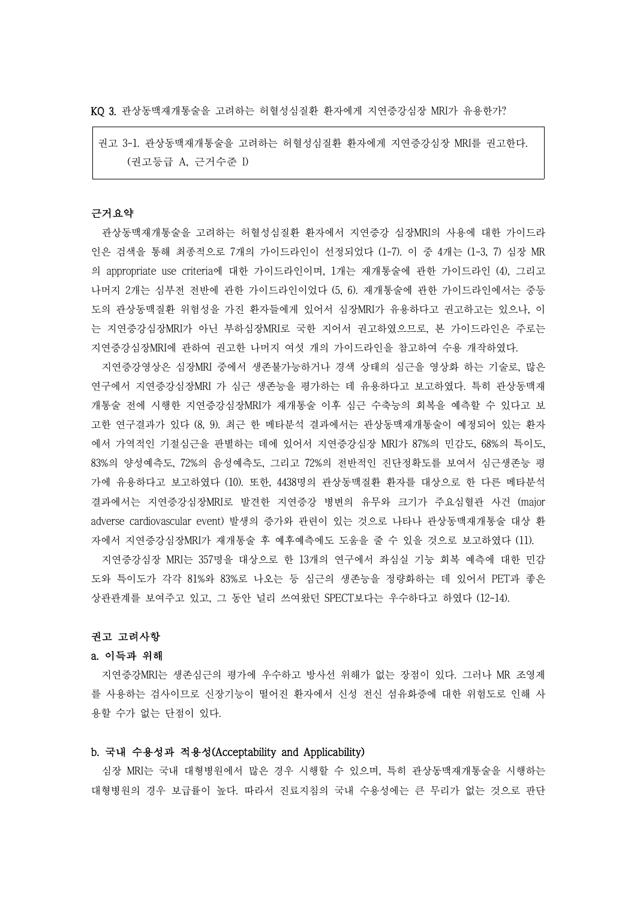KQ 3. 관상동맥재개통술을 고려하는 허혈성심질환 환자에게 지연증강심장 MRI가 유용한가?

권고 3-1. 관상동맥재개통술을 고려하는 허혈성심질환 환자에게 지연증강심장 MRI를 권고한다. (권고등급 A, 근거수준 I)

## 근거요약

관상동맥재개통술을 고려하는 허혈성심질환 환자에서 지연증강 심장MRI의 사용에 대한 가이드라 인은 검색을 통해 최종적으로 7개의 가이드라인이 선정되었다 (1-7). 이 중 4개는 (1-3, 7) 심장 MR 의 appropriate use criteria에 대한 가이드라인이며, 1개는 재개통술에 관한 가이드라인 (4), 그리고 나머지 2개는 심부전 전반에 관한 가이드라인이었다 (5, 6). 재개통술에 관한 가이드라인에서는 중등 도의 관상동맥질환 위험성을 가진 환자들에게 있어서 심장MRI가 유용하다고 권고하고는 있으나, 이 는 지연증강심장MRI가 아닌 부하심장MRI로 국한 지어서 권고하였으므로, 본 가이드라인은 주로는 지연증강심장MRI에 관하여 권고한 나머지 여섯 개의 가이드라인을 참고하여 수용 개작하였다.

지연증강영상은 심장MRI 중에서 생존불가능하거나 경색 상태의 심근을 영상화 하는 기술로, 많은 연구에서 지연증강심장MRI 가 심근 생존능을 평가하는 데 유용하다고 보고하였다. 특히 관상동맥재 개통술 전에 시행한 지연증강심장MRI가 재개통술 이후 심근 수축능의 회복을 예측할 수 있다고 보 고한 연구결과가 있다 (8, 9). 최근 한 메타분석 결과에서는 관상동맥재개통술이 예정되어 있는 환자 에서 가역적인 기절심근을 판별하는 데에 있어서 지연증강심장 MRI가 87%의 민감도, 68%의 특이도, 83%의 양성예측도, 72%의 음성예측도, 그리고 72%의 전반적인 진단정확도를 보여서 심근생존능 평 가에 유용하다고 보고하였다 (10). 또한, 4438명의 관상동맥질환 환자를 대상으로 한 다른 메타분석 결과에서는 지연증강심장MRI로 발견한 지연증강 병변의 유무와 크기가 주요심혈관 사건 (major adverse cardiovascular event) 발생의 증가와 관련이 있는 것으로 나타나 관상동맥재개통술 대상 환 자에서 지연증강심장MRI가 재개통술 후 예후예측에도 도움을 줄 수 있을 것으로 보고하였다 (11).

지연증강심장 MRI는 357명을 대상으로 한 13개의 연구에서 좌심실 기능 회복 예측에 대한 민감 도와 특이도가 각각 81%와 83%로 나오는 등 심근의 생존능을 정량화하는 데 있어서 PET과 좋은 상관관계를 보여주고 있고, 그 동안 널리 쓰여왔던 SPECT보다는 우수하다고 하였다 (12-14).

#### 권고 고려사항

### a. 이득과 위해

지연증강MRI는 생존심근의 평가에 우수하고 방사선 위해가 없는 장점이 있다. 그러나 MR 조영제 를 사용하는 검사이므로 신장기능이 떨어진 환자에서 신성 전신 섬유화증에 대한 위험도로 인해 사 용할 수가 없는 단점이 있다.

### b. 국내 수용성과 적용성(Acceptability and Applicability)

심장 MRI는 국내 대형병원에서 많은 경우 시행할 수 있으며, 특히 관상동맥재개통술을 시행하는 대형병원의 경우 보급률이 높다. 따라서 진료지침의 국내 수용성에는 큰 무리가 없는 것으로 판단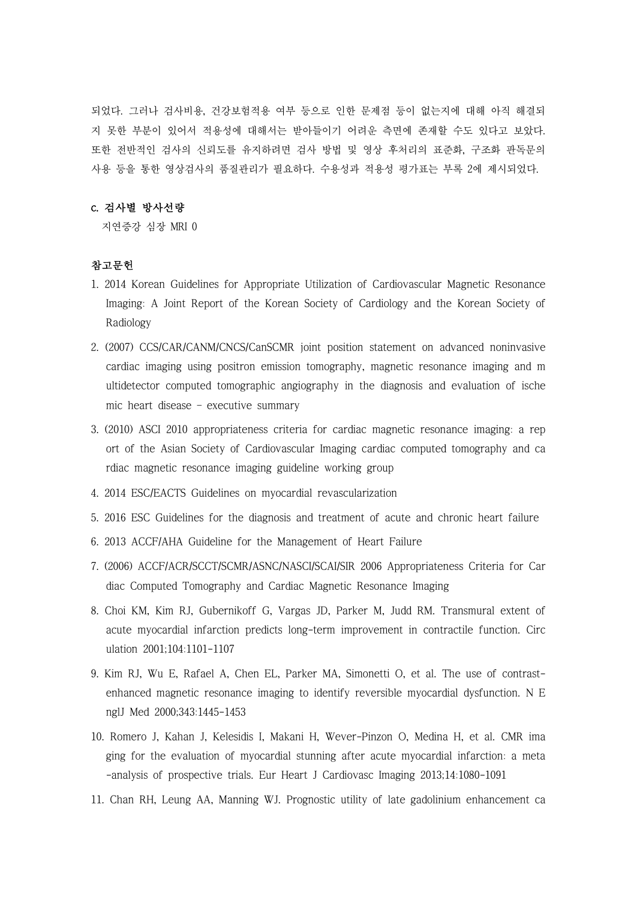되었다. 그러나 검사비용, 건강보험적용 여부 등으로 인한 문제점 등이 없는지에 대해 아직 해결되 지 못한 부분이 있어서 적용성에 대해서는 받아들이기 어려운 측면에 존재할 수도 있다고 보았다.<br>또한 전반적인 검사의 신뢰도를 유지하려면 검사 방법 및 영상 후처리의 표준화, 구조화 판독문의 사용 등을 통한 영상검사의 품질관리가 필요하다. 수용성과 적용성 평가표는 부록 2에 제시되었다.

## c. 검사별 방사선량

지연증강 심장 MRI 0

# 참고문헌

- 1. 2014 Korean Guidelines for Appropriate Utilization of Cardiovascular Magnetic Resonance Imaging: A Joint Report of the Korean Society of Cardiology and the Korean Society of Radiology
- 2. (2007) CCS/CAR/CANM/CNCS/CanSCMR joint position statement on advanced noninvasive cardiac imaging using positron emission tomography, magnetic resonance imaging and m ultidetector computed tomographic angiography in the diagnosis and evaluation of ische mic heart disease – executive summary
- 3. (2010) ASCI 2010 appropriateness criteria for cardiac magnetic resonance imaging: a rep ort of the Asian Society of Cardiovascular Imaging cardiac computed tomography and ca rdiac magnetic resonance imaging guideline working group
- 4. 2014 ESC/EACTS Guidelines on myocardial revascularization
- 5. 2016 ESC Guidelines for the diagnosis and treatment of acute and chronic heart failure
- 6. 2013 ACCF/AHA Guideline for the Management of Heart Failure
- 7. (2006) ACCF/ACR/SCCT/SCMR/ASNC/NASCI/SCAI/SIR 2006 Appropriateness Criteria for Car diac Computed Tomography and Cardiac Magnetic Resonance Imaging
- 8. Choi KM, Kim RJ, Gubernikoff G, Vargas JD, Parker M, Judd RM. Transmural extent of acute myocardial infarction predicts long-term improvement in contractile function. Circ ulation 2001;104:1101-1107
- 9. Kim RJ, Wu E, Rafael A, Chen EL, Parker MA, Simonetti O, et al. The use of contrastenhanced magnetic resonance imaging to identify reversible myocardial dysfunction. N E nglJ Med 2000;343:1445-1453
- 10. Romero J, Kahan J, Kelesidis I, Makani H, Wever-Pinzon O, Medina H, et al. CMR ima ging for the evaluation of myocardial stunning after acute myocardial infarction: a meta -analysis of prospective trials. Eur Heart J Cardiovasc Imaging 2013;14:1080-1091
- 11. Chan RH, Leung AA, Manning WJ. Prognostic utility of late gadolinium enhancement ca